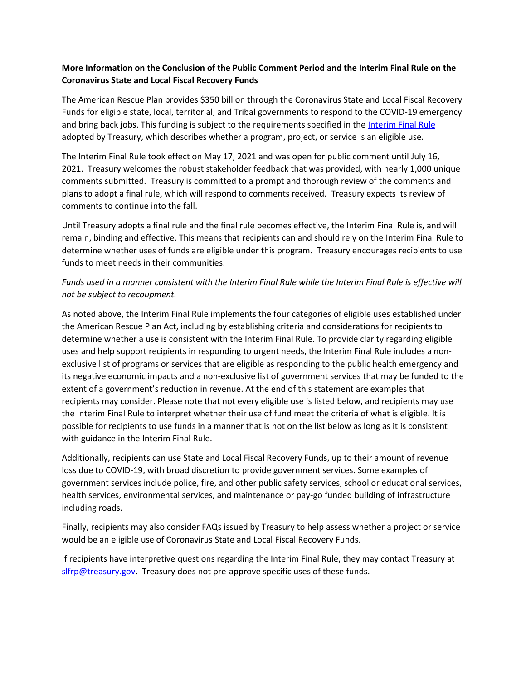## **More Information on the Conclusion of the Public Comment Period and the Interim Final Rule on the Coronavirus State and Local Fiscal Recovery Funds**

The American Rescue Plan provides \$350 billion through the Coronavirus State and Local Fiscal Recovery Funds for eligible state, local, territorial, and Tribal governments to respond to the COVID-19 emergency and bring back jobs. This funding is subject to the requirements specified in the [Interim Final Rule](https://www.federalregister.gov/documents/2021/05/17/2021-10283/coronavirus-state-and-local-fiscal-recovery-funds) adopted by Treasury, which describes whether a program, project, or service is an eligible use.

The Interim Final Rule took effect on May 17, 2021 and was open for public comment until July 16, 2021. Treasury welcomes the robust stakeholder feedback that was provided, with nearly 1,000 unique comments submitted. Treasury is committed to a prompt and thorough review of the comments and plans to adopt a final rule, which will respond to comments received. Treasury expects its review of comments to continue into the fall.

Until Treasury adopts a final rule and the final rule becomes effective, the Interim Final Rule is, and will remain, binding and effective. This means that recipients can and should rely on the Interim Final Rule to determine whether uses of funds are eligible under this program. Treasury encourages recipients to use funds to meet needs in their communities.

## *Funds used in a manner consistent with the Interim Final Rule while the Interim Final Rule is effective will not be subject to recoupment.*

As noted above, the Interim Final Rule implements the four categories of eligible uses established under the American Rescue Plan Act, including by establishing criteria and considerations for recipients to determine whether a use is consistent with the Interim Final Rule. To provide clarity regarding eligible uses and help support recipients in responding to urgent needs, the Interim Final Rule includes a nonexclusive list of programs or services that are eligible as responding to the public health emergency and its negative economic impacts and a non-exclusive list of government services that may be funded to the extent of a government's reduction in revenue. At the end of this statement are examples that recipients may consider. Please note that not every eligible use is listed below, and recipients may use the Interim Final Rule to interpret whether their use of fund meet the criteria of what is eligible. It is possible for recipients to use funds in a manner that is not on the list below as long as it is consistent with guidance in the Interim Final Rule.

Additionally, recipients can use State and Local Fiscal Recovery Funds, up to their amount of revenue loss due to COVID-19, with broad discretion to provide government services. Some examples of government services include police, fire, and other public safety services, school or educational services, health services, environmental services, and maintenance or pay-go funded building of infrastructure including roads.

Finally, recipients may also consider FAQs issued by Treasury to help assess whether a project or service would be an eligible use of Coronavirus State and Local Fiscal Recovery Funds.

If recipients have interpretive questions regarding the Interim Final Rule, they may contact Treasury at [slfrp@treasury.gov.](mailto:slfrp@treasury.gov) Treasury does not pre-approve specific uses of these funds.